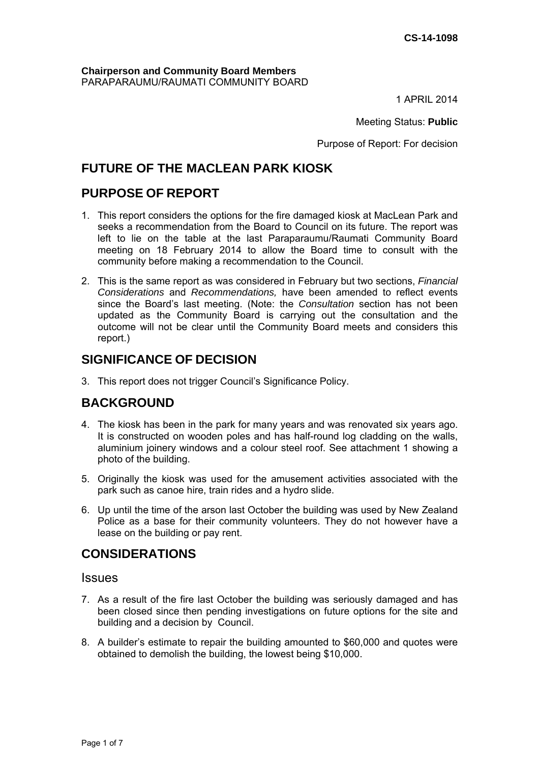1 APRIL 2014

Meeting Status: **Public**

Purpose of Report: For decision

## **FUTURE OF THE MACLEAN PARK KIOSK**

## **PURPOSE OF REPORT**

- 1. This report considers the options for the fire damaged kiosk at MacLean Park and seeks a recommendation from the Board to Council on its future. The report was left to lie on the table at the last Paraparaumu/Raumati Community Board meeting on 18 February 2014 to allow the Board time to consult with the community before making a recommendation to the Council.
- 2. This is the same report as was considered in February but two sections, *Financial Considerations* and *Recommendations,* have been amended to reflect events since the Board's last meeting. (Note: the *Consultation* section has not been updated as the Community Board is carrying out the consultation and the outcome will not be clear until the Community Board meets and considers this report.)

## **SIGNIFICANCE OF DECISION**

3. This report does not trigger Council's Significance Policy.

# **BACKGROUND**

- 4. The kiosk has been in the park for many years and was renovated six years ago. It is constructed on wooden poles and has half-round log cladding on the walls, aluminium joinery windows and a colour steel roof. See attachment 1 showing a photo of the building.
- 5. Originally the kiosk was used for the amusement activities associated with the park such as canoe hire, train rides and a hydro slide.
- 6. Up until the time of the arson last October the building was used by New Zealand Police as a base for their community volunteers. They do not however have a lease on the building or pay rent.

## **CONSIDERATIONS**

#### **Issues**

- 7. As a result of the fire last October the building was seriously damaged and has been closed since then pending investigations on future options for the site and building and a decision by Council.
- 8. A builder's estimate to repair the building amounted to \$60,000 and quotes were obtained to demolish the building, the lowest being \$10,000.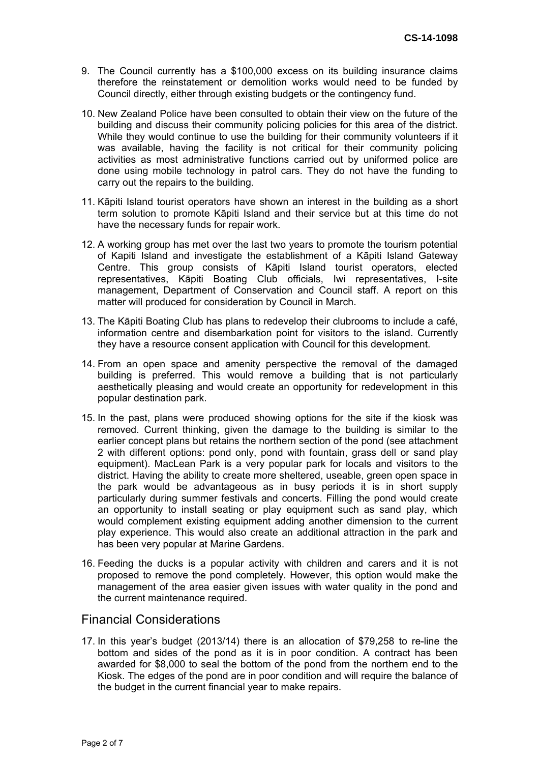- 9. The Council currently has a \$100,000 excess on its building insurance claims therefore the reinstatement or demolition works would need to be funded by Council directly, either through existing budgets or the contingency fund.
- 10. New Zealand Police have been consulted to obtain their view on the future of the building and discuss their community policing policies for this area of the district. While they would continue to use the building for their community volunteers if it was available, having the facility is not critical for their community policing activities as most administrative functions carried out by uniformed police are done using mobile technology in patrol cars. They do not have the funding to carry out the repairs to the building.
- 11. Kāpiti Island tourist operators have shown an interest in the building as a short term solution to promote Kāpiti Island and their service but at this time do not have the necessary funds for repair work.
- 12. A working group has met over the last two years to promote the tourism potential of Kapiti Island and investigate the establishment of a Kāpiti Island Gateway Centre. This group consists of Kāpiti Island tourist operators, elected representatives, Kāpiti Boating Club officials, Iwi representatives, I-site management, Department of Conservation and Council staff. A report on this matter will produced for consideration by Council in March.
- 13. The Kāpiti Boating Club has plans to redevelop their clubrooms to include a café, information centre and disembarkation point for visitors to the island. Currently they have a resource consent application with Council for this development.
- 14. From an open space and amenity perspective the removal of the damaged building is preferred. This would remove a building that is not particularly aesthetically pleasing and would create an opportunity for redevelopment in this popular destination park.
- 15. In the past, plans were produced showing options for the site if the kiosk was removed. Current thinking, given the damage to the building is similar to the earlier concept plans but retains the northern section of the pond (see attachment 2 with different options: pond only, pond with fountain, grass dell or sand play equipment). MacLean Park is a very popular park for locals and visitors to the district. Having the ability to create more sheltered, useable, green open space in the park would be advantageous as in busy periods it is in short supply particularly during summer festivals and concerts. Filling the pond would create an opportunity to install seating or play equipment such as sand play, which would complement existing equipment adding another dimension to the current play experience. This would also create an additional attraction in the park and has been very popular at Marine Gardens.
- 16. Feeding the ducks is a popular activity with children and carers and it is not proposed to remove the pond completely. However, this option would make the management of the area easier given issues with water quality in the pond and the current maintenance required.

### Financial Considerations

17. In this year's budget (2013/14) there is an allocation of \$79,258 to re-line the bottom and sides of the pond as it is in poor condition. A contract has been awarded for \$8,000 to seal the bottom of the pond from the northern end to the Kiosk. The edges of the pond are in poor condition and will require the balance of the budget in the current financial year to make repairs.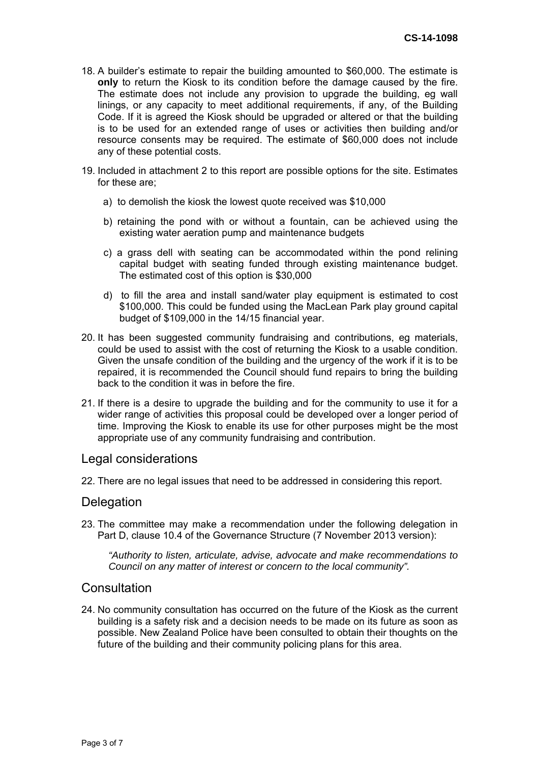- 18. A builder's estimate to repair the building amounted to \$60,000. The estimate is **only** to return the Kiosk to its condition before the damage caused by the fire. The estimate does not include any provision to upgrade the building, eg wall linings, or any capacity to meet additional requirements, if any, of the Building Code. If it is agreed the Kiosk should be upgraded or altered or that the building is to be used for an extended range of uses or activities then building and/or resource consents may be required. The estimate of \$60,000 does not include any of these potential costs.
- 19. Included in attachment 2 to this report are possible options for the site. Estimates for these are;
	- a) to demolish the kiosk the lowest quote received was \$10,000
	- b) retaining the pond with or without a fountain, can be achieved using the existing water aeration pump and maintenance budgets
	- c) a grass dell with seating can be accommodated within the pond relining capital budget with seating funded through existing maintenance budget. The estimated cost of this option is \$30,000
	- d) to fill the area and install sand/water play equipment is estimated to cost \$100,000. This could be funded using the MacLean Park play ground capital budget of \$109,000 in the 14/15 financial year.
- 20. It has been suggested community fundraising and contributions, eg materials, could be used to assist with the cost of returning the Kiosk to a usable condition. Given the unsafe condition of the building and the urgency of the work if it is to be repaired, it is recommended the Council should fund repairs to bring the building back to the condition it was in before the fire.
- 21. If there is a desire to upgrade the building and for the community to use it for a wider range of activities this proposal could be developed over a longer period of time. Improving the Kiosk to enable its use for other purposes might be the most appropriate use of any community fundraising and contribution.

#### Legal considerations

22. There are no legal issues that need to be addressed in considering this report.

#### **Delegation**

23. The committee may make a recommendation under the following delegation in Part D, clause 10.4 of the Governance Structure (7 November 2013 version):

*"Authority to listen, articulate, advise, advocate and make recommendations to Council on any matter of interest or concern to the local community".* 

### **Consultation**

24. No community consultation has occurred on the future of the Kiosk as the current building is a safety risk and a decision needs to be made on its future as soon as possible. New Zealand Police have been consulted to obtain their thoughts on the future of the building and their community policing plans for this area.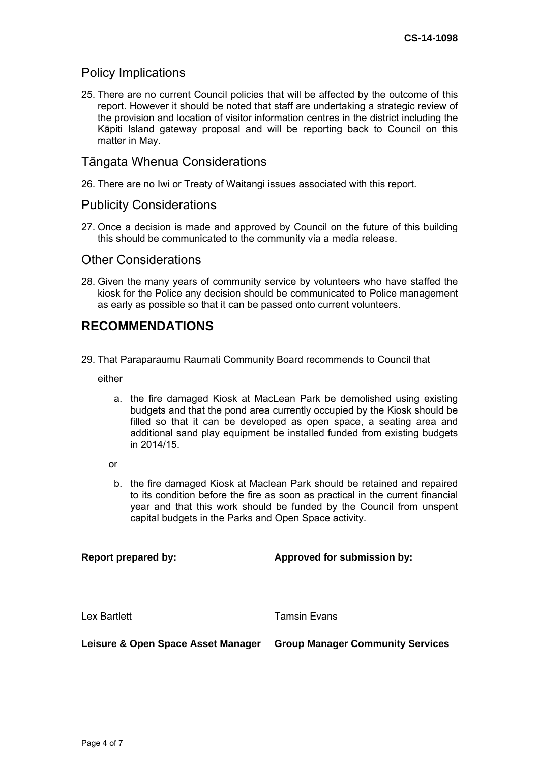## Policy Implications

25. There are no current Council policies that will be affected by the outcome of this report. However it should be noted that staff are undertaking a strategic review of the provision and location of visitor information centres in the district including the Kāpiti Island gateway proposal and will be reporting back to Council on this matter in May.

## Tāngata Whenua Considerations

26. There are no Iwi or Treaty of Waitangi issues associated with this report.

#### Publicity Considerations

27. Once a decision is made and approved by Council on the future of this building this should be communicated to the community via a media release.

### Other Considerations

28. Given the many years of community service by volunteers who have staffed the kiosk for the Police any decision should be communicated to Police management as early as possible so that it can be passed onto current volunteers.

## **RECOMMENDATIONS**

29. That Paraparaumu Raumati Community Board recommends to Council that

either

- a. the fire damaged Kiosk at MacLean Park be demolished using existing budgets and that the pond area currently occupied by the Kiosk should be filled so that it can be developed as open space, a seating area and additional sand play equipment be installed funded from existing budgets in 2014/15.
- or
	- b. the fire damaged Kiosk at Maclean Park should be retained and repaired to its condition before the fire as soon as practical in the current financial year and that this work should be funded by the Council from unspent capital budgets in the Parks and Open Space activity.

Report prepared by: **Approved for submission by:**  $\blacksquare$ 

Lex Bartlett **Tamsin Evans** 

**Leisure & Open Space Asset Manager Group Manager Community Services**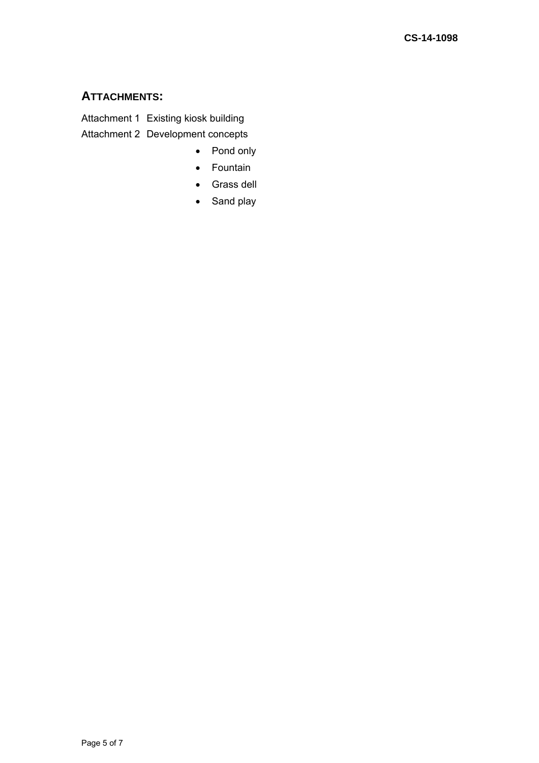# **ATTACHMENTS:**

Attachment 1 Existing kiosk building Attachment 2 Development concepts

- Pond only
- Fountain
- Grass dell
- Sand play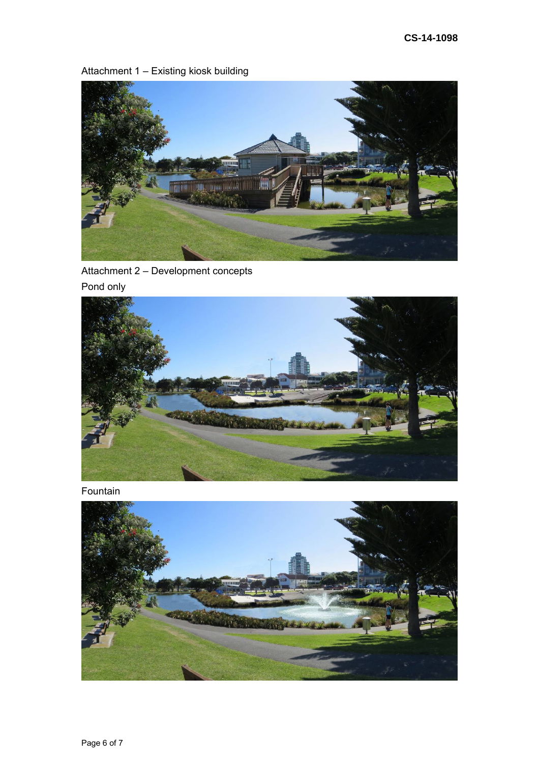# Attachment 1 – Existing kiosk building



Attachment 2 – Development concepts Pond only



Fountain